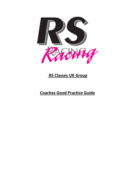

## **RS Classes UK Group**

# **Coaches Good Practice Guide**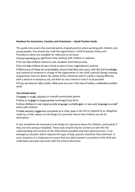## **Handout for Instructors, Coaches and Volunteers – Good Practice Guide**

This guide only covers the essential points of good practice when working with children and young people. You should also read the organisation's Child Protection Policy and Procedures which are available for reference at all times.

 $\mathbb B$  Avoid spending any significant time working with children in isolation

■ Do not take children alone in a car, however short the journey

**sqrtmoughtm Dow now to a set of your home as part of your organisation's activity** 

a Where any of these are unavoidable, ensure that they only occur with the full knowledge and consent of someone in charge of the organisation or the child's parents Design training programmes that are within the ability of the individual child If a child is having difficulty with a wetsuit or buoyancy aid, ask them to ask a friend to help if at all possible

⊠ If you do have to help a child, make sure you are in full view of others, preferably another adult

#### **You should never:**

a engage in rough, physical or sexually provocative games

allow or engage in inappropriate touching of any form

allow children to use inappropriate language unchallenged, or use such language yourself when with children

 $\mathbb B$  make sexually suggestive comments to a child, even in fun fail to respond to an allegation made by a child; always act do things of a personal nature that children can do for themselves.

It may sometimes be necessary to do things of a personal nature for children, particularly if they are very young or disabled. These tasks should only be carried out with the full understanding and consent of the child (where possible) and their parents/carers. In an emergency situation which requires this type of help, parents should be fully informed. In such situations it is important to ensure that any adult present is sensitive to the child and undertakes personal care tasks with the utmost discretion.